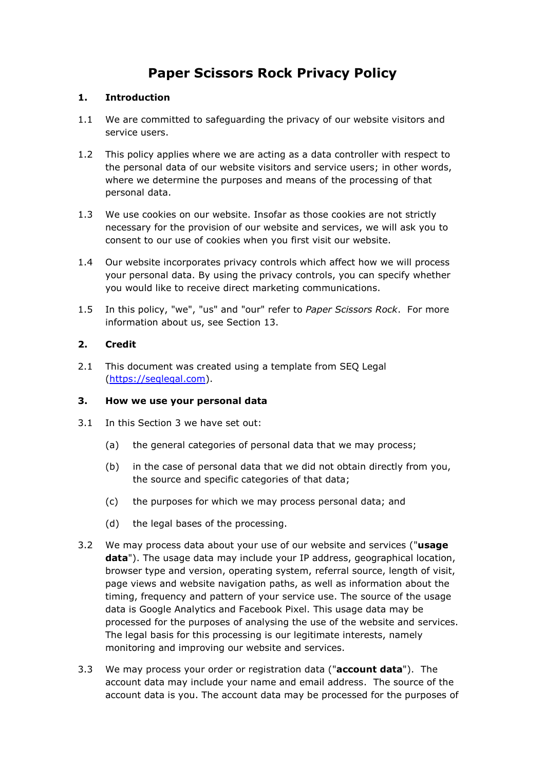# **Paper Scissors Rock Privacy Policy**

# **1. Introduction**

- 1.1 We are committed to safeguarding the privacy of our website visitors and service users.
- 1.2 This policy applies where we are acting as a data controller with respect to the personal data of our website visitors and service users; in other words, where we determine the purposes and means of the processing of that personal data.
- 1.3 We use cookies on our website. Insofar as those cookies are not strictly necessary for the provision of our website and services, we will ask you to consent to our use of cookies when you first visit our website.
- 1.4 Our website incorporates privacy controls which affect how we will process your personal data. By using the privacy controls, you can specify whether you would like to receive direct marketing communications.
- 1.5 In this policy, "we", "us" and "our" refer to *Paper Scissors Rock*. For more information about us, see Section 13.

# **2. Credit**

2.1 This document was created using a template from SEQ Legal [\(https://seqlegal.com\)](https://seqlegal.com/).

### **3. How we use your personal data**

- 3.1 In this Section 3 we have set out:
	- (a) the general categories of personal data that we may process;
	- (b) in the case of personal data that we did not obtain directly from you, the source and specific categories of that data;
	- (c) the purposes for which we may process personal data; and
	- (d) the legal bases of the processing.
- 3.2 We may process data about your use of our website and services ("**usage data**"). The usage data may include your IP address, geographical location, browser type and version, operating system, referral source, length of visit, page views and website navigation paths, as well as information about the timing, frequency and pattern of your service use. The source of the usage data is Google Analytics and Facebook Pixel. This usage data may be processed for the purposes of analysing the use of the website and services. The legal basis for this processing is our legitimate interests, namely monitoring and improving our website and services.
- 3.3 We may process your order or registration data ("**account data**"). The account data may include your name and email address. The source of the account data is you. The account data may be processed for the purposes of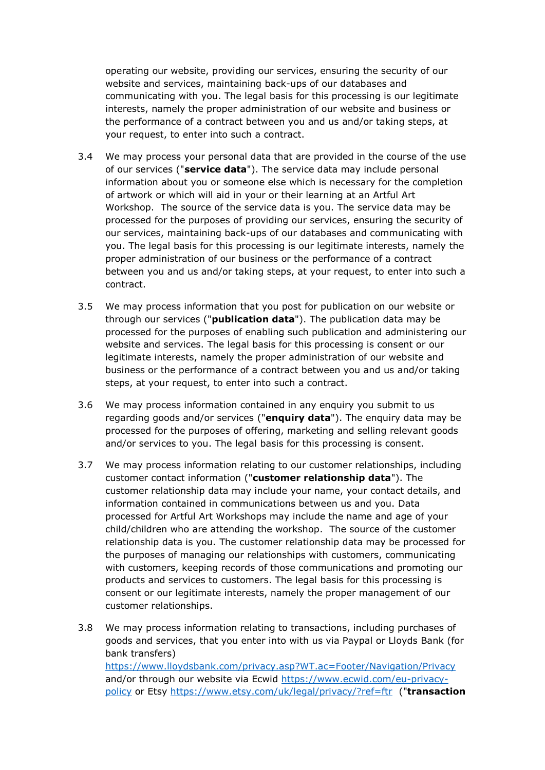operating our website, providing our services, ensuring the security of our website and services, maintaining back-ups of our databases and communicating with you. The legal basis for this processing is our legitimate interests, namely the proper administration of our website and business or the performance of a contract between you and us and/or taking steps, at your request, to enter into such a contract.

- 3.4 We may process your personal data that are provided in the course of the use of our services ("**service data**"). The service data may include personal information about you or someone else which is necessary for the completion of artwork or which will aid in your or their learning at an Artful Art Workshop. The source of the service data is you. The service data may be processed for the purposes of providing our services, ensuring the security of our services, maintaining back-ups of our databases and communicating with you. The legal basis for this processing is our legitimate interests, namely the proper administration of our business or the performance of a contract between you and us and/or taking steps, at your request, to enter into such a contract.
- 3.5 We may process information that you post for publication on our website or through our services ("**publication data**"). The publication data may be processed for the purposes of enabling such publication and administering our website and services. The legal basis for this processing is consent or our legitimate interests, namely the proper administration of our website and business or the performance of a contract between you and us and/or taking steps, at your request, to enter into such a contract.
- 3.6 We may process information contained in any enquiry you submit to us regarding goods and/or services ("**enquiry data**"). The enquiry data may be processed for the purposes of offering, marketing and selling relevant goods and/or services to you. The legal basis for this processing is consent.
- 3.7 We may process information relating to our customer relationships, including customer contact information ("**customer relationship data**"). The customer relationship data may include your name, your contact details, and information contained in communications between us and you. Data processed for Artful Art Workshops may include the name and age of your child/children who are attending the workshop. The source of the customer relationship data is you. The customer relationship data may be processed for the purposes of managing our relationships with customers, communicating with customers, keeping records of those communications and promoting our products and services to customers. The legal basis for this processing is consent or our legitimate interests, namely the proper management of our customer relationships.
- 3.8 We may process information relating to transactions, including purchases of goods and services, that you enter into with us via Paypal or Lloyds Bank (for bank transfers) <https://www.lloydsbank.com/privacy.asp?WT.ac=Footer/Navigation/Privacy> and/or through our website via Ecwid [https://www.ecwid.com/eu-privacy](https://www.ecwid.com/eu-privacy-policy)[policy](https://www.ecwid.com/eu-privacy-policy) or Etsy <https://www.etsy.com/uk/legal/privacy/?ref=ftr>("**transaction**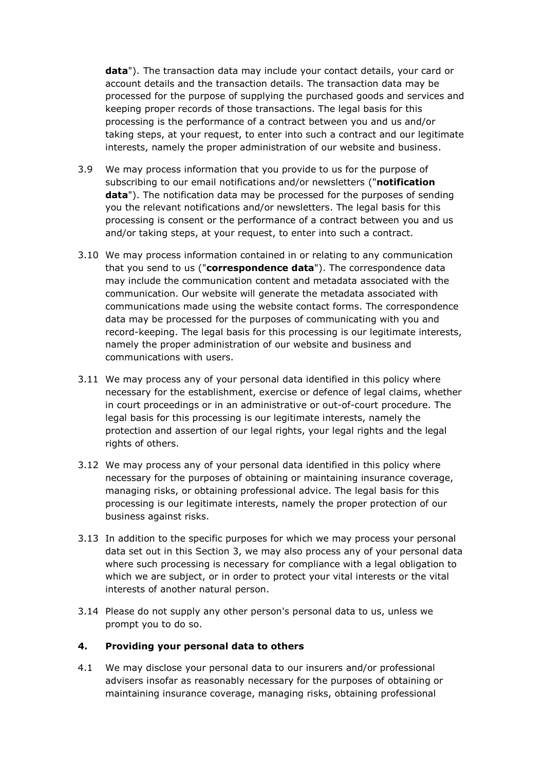**data**"). The transaction data may include your contact details, your card or account details and the transaction details. The transaction data may be processed for the purpose of supplying the purchased goods and services and keeping proper records of those transactions. The legal basis for this processing is the performance of a contract between you and us and/or taking steps, at your request, to enter into such a contract and our legitimate interests, namely the proper administration of our website and business.

- 3.9 We may process information that you provide to us for the purpose of subscribing to our email notifications and/or newsletters ("**notification data**"). The notification data may be processed for the purposes of sending you the relevant notifications and/or newsletters. The legal basis for this processing is consent or the performance of a contract between you and us and/or taking steps, at your request, to enter into such a contract.
- 3.10 We may process information contained in or relating to any communication that you send to us ("**correspondence data**"). The correspondence data may include the communication content and metadata associated with the communication. Our website will generate the metadata associated with communications made using the website contact forms. The correspondence data may be processed for the purposes of communicating with you and record-keeping. The legal basis for this processing is our legitimate interests, namely the proper administration of our website and business and communications with users.
- 3.11 We may process any of your personal data identified in this policy where necessary for the establishment, exercise or defence of legal claims, whether in court proceedings or in an administrative or out-of-court procedure. The legal basis for this processing is our legitimate interests, namely the protection and assertion of our legal rights, your legal rights and the legal rights of others.
- 3.12 We may process any of your personal data identified in this policy where necessary for the purposes of obtaining or maintaining insurance coverage, managing risks, or obtaining professional advice. The legal basis for this processing is our legitimate interests, namely the proper protection of our business against risks.
- 3.13 In addition to the specific purposes for which we may process your personal data set out in this Section 3, we may also process any of your personal data where such processing is necessary for compliance with a legal obligation to which we are subject, or in order to protect your vital interests or the vital interests of another natural person.
- 3.14 Please do not supply any other person's personal data to us, unless we prompt you to do so.

### **4. Providing your personal data to others**

4.1 We may disclose your personal data to our insurers and/or professional advisers insofar as reasonably necessary for the purposes of obtaining or maintaining insurance coverage, managing risks, obtaining professional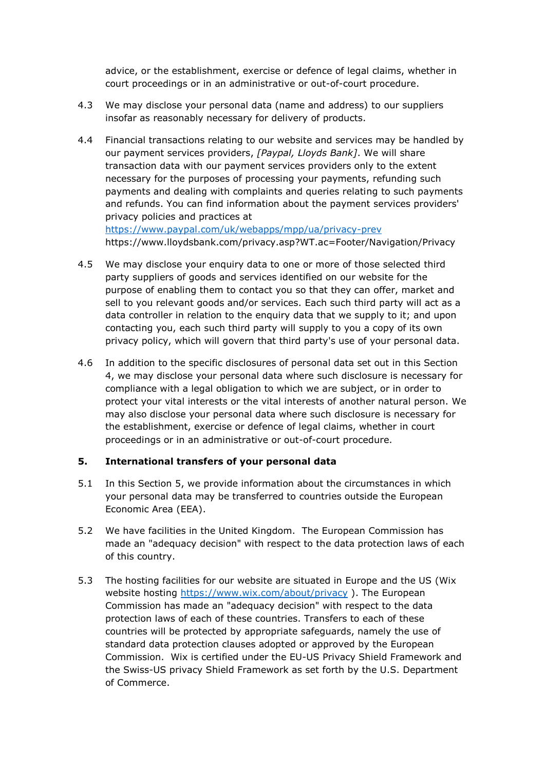advice, or the establishment, exercise or defence of legal claims, whether in court proceedings or in an administrative or out-of-court procedure.

- 4.3 We may disclose your personal data (name and address) to our suppliers insofar as reasonably necessary for delivery of products.
- 4.4 Financial transactions relating to our website and services may be handled by our payment services providers, *[Paypal, Lloyds Bank]*. We will share transaction data with our payment services providers only to the extent necessary for the purposes of processing your payments, refunding such payments and dealing with complaints and queries relating to such payments and refunds. You can find information about the payment services providers' privacy policies and practices at <https://www.paypal.com/uk/webapps/mpp/ua/privacy-prev>

https://www.lloydsbank.com/privacy.asp?WT.ac=Footer/Navigation/Privacy

- 4.5 We may disclose your enquiry data to one or more of those selected third party suppliers of goods and services identified on our website for the purpose of enabling them to contact you so that they can offer, market and sell to you relevant goods and/or services. Each such third party will act as a data controller in relation to the enquiry data that we supply to it; and upon contacting you, each such third party will supply to you a copy of its own privacy policy, which will govern that third party's use of your personal data.
- 4.6 In addition to the specific disclosures of personal data set out in this Section 4, we may disclose your personal data where such disclosure is necessary for compliance with a legal obligation to which we are subject, or in order to protect your vital interests or the vital interests of another natural person. We may also disclose your personal data where such disclosure is necessary for the establishment, exercise or defence of legal claims, whether in court proceedings or in an administrative or out-of-court procedure.

# **5. International transfers of your personal data**

- 5.1 In this Section 5, we provide information about the circumstances in which your personal data may be transferred to countries outside the European Economic Area (EEA).
- 5.2 We have facilities in the United Kingdom. The European Commission has made an "adequacy decision" with respect to the data protection laws of each of this country.
- 5.3 The hosting facilities for our website are situated in Europe and the US (Wix website hosting<https://www.wix.com/about/privacy>). The European Commission has made an "adequacy decision" with respect to the data protection laws of each of these countries. Transfers to each of these countries will be protected by appropriate safeguards, namely the use of standard data protection clauses adopted or approved by the European Commission. Wix is certified under the EU-US Privacy Shield Framework and the Swiss-US privacy Shield Framework as set forth by the U.S. Department of Commerce.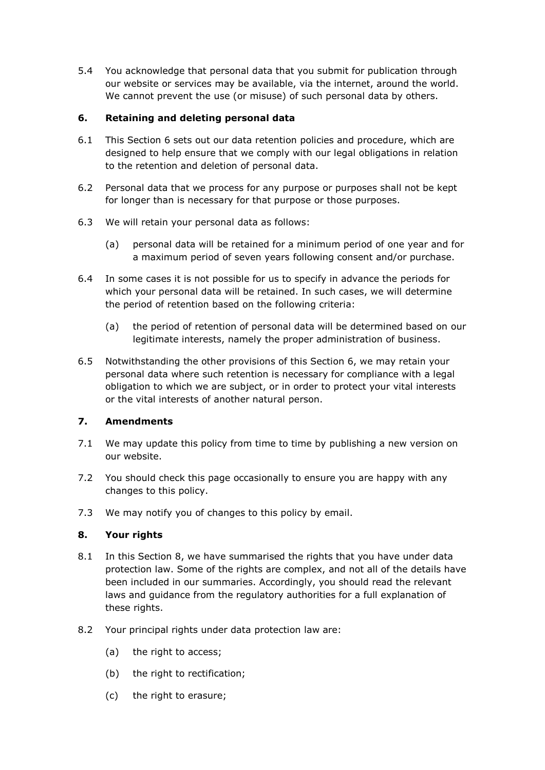5.4 You acknowledge that personal data that you submit for publication through our website or services may be available, via the internet, around the world. We cannot prevent the use (or misuse) of such personal data by others.

# **6. Retaining and deleting personal data**

- 6.1 This Section 6 sets out our data retention policies and procedure, which are designed to help ensure that we comply with our legal obligations in relation to the retention and deletion of personal data.
- 6.2 Personal data that we process for any purpose or purposes shall not be kept for longer than is necessary for that purpose or those purposes.
- 6.3 We will retain your personal data as follows:
	- (a) personal data will be retained for a minimum period of one year and for a maximum period of seven years following consent and/or purchase.
- 6.4 In some cases it is not possible for us to specify in advance the periods for which your personal data will be retained. In such cases, we will determine the period of retention based on the following criteria:
	- (a) the period of retention of personal data will be determined based on our legitimate interests, namely the proper administration of business.
- 6.5 Notwithstanding the other provisions of this Section 6, we may retain your personal data where such retention is necessary for compliance with a legal obligation to which we are subject, or in order to protect your vital interests or the vital interests of another natural person.

# **7. Amendments**

- 7.1 We may update this policy from time to time by publishing a new version on our website.
- 7.2 You should check this page occasionally to ensure you are happy with any changes to this policy.
- 7.3 We may notify you of changes to this policy by email.

# **8. Your rights**

- 8.1 In this Section 8, we have summarised the rights that you have under data protection law. Some of the rights are complex, and not all of the details have been included in our summaries. Accordingly, you should read the relevant laws and guidance from the regulatory authorities for a full explanation of these rights.
- 8.2 Your principal rights under data protection law are:
	- (a) the right to access:
	- (b) the right to rectification;
	- (c) the right to erasure;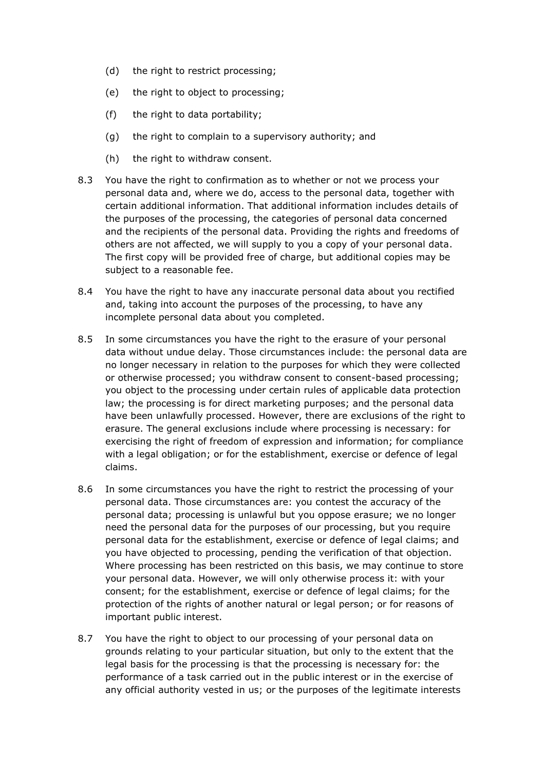- (d) the right to restrict processing;
- (e) the right to object to processing;
- (f) the right to data portability;
- (g) the right to complain to a supervisory authority; and
- (h) the right to withdraw consent.
- 8.3 You have the right to confirmation as to whether or not we process your personal data and, where we do, access to the personal data, together with certain additional information. That additional information includes details of the purposes of the processing, the categories of personal data concerned and the recipients of the personal data. Providing the rights and freedoms of others are not affected, we will supply to you a copy of your personal data. The first copy will be provided free of charge, but additional copies may be subject to a reasonable fee.
- 8.4 You have the right to have any inaccurate personal data about you rectified and, taking into account the purposes of the processing, to have any incomplete personal data about you completed.
- 8.5 In some circumstances you have the right to the erasure of your personal data without undue delay. Those circumstances include: the personal data are no longer necessary in relation to the purposes for which they were collected or otherwise processed; you withdraw consent to consent-based processing; you object to the processing under certain rules of applicable data protection law; the processing is for direct marketing purposes; and the personal data have been unlawfully processed. However, there are exclusions of the right to erasure. The general exclusions include where processing is necessary: for exercising the right of freedom of expression and information; for compliance with a legal obligation; or for the establishment, exercise or defence of legal claims.
- 8.6 In some circumstances you have the right to restrict the processing of your personal data. Those circumstances are: you contest the accuracy of the personal data; processing is unlawful but you oppose erasure; we no longer need the personal data for the purposes of our processing, but you require personal data for the establishment, exercise or defence of legal claims; and you have objected to processing, pending the verification of that objection. Where processing has been restricted on this basis, we may continue to store your personal data. However, we will only otherwise process it: with your consent; for the establishment, exercise or defence of legal claims; for the protection of the rights of another natural or legal person; or for reasons of important public interest.
- 8.7 You have the right to object to our processing of your personal data on grounds relating to your particular situation, but only to the extent that the legal basis for the processing is that the processing is necessary for: the performance of a task carried out in the public interest or in the exercise of any official authority vested in us; or the purposes of the legitimate interests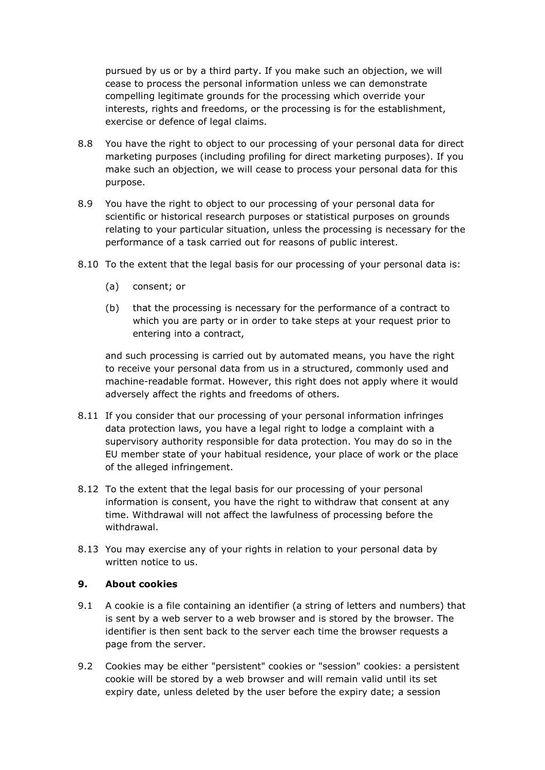pursued by us or by a third party. If you make such an objection, we will cease to process the personal information unless we can demonstrate compelling legitimate grounds for the processing which override your interests, rights and freedoms, or the processing is for the establishment, exercise or defence of legal claims.

- 8.8 You have the right to object to our processing of your personal data for direct marketing purposes (including profiling for direct marketing purposes). If you make such an objection, we will cease to process your personal data for this purpose.
- 8.9 You have the right to object to our processing of your personal data for scientific or historical research purposes or statistical purposes on grounds relating to your particular situation, unless the processing is necessary for the performance of a task carried out for reasons of public interest.
- 8.10 To the extent that the legal basis for our processing of your personal data is:
	- (a) consent; or
	- (b) that the processing is necessary for the performance of a contract to which you are party or in order to take steps at your request prior to entering into a contract,

and such processing is carried out by automated means, you have the right to receive your personal data from us in a structured, commonly used and machine-readable format. However, this right does not apply where it would adversely affect the rights and freedoms of others.

- 8.11 If you consider that our processing of your personal information infringes data protection laws, you have a legal right to lodge a complaint with a supervisory authority responsible for data protection. You may do so in the EU member state of your habitual residence, your place of work or the place of the alleged infringement.
- 8.12 To the extent that the legal basis for our processing of your personal information is consent, you have the right to withdraw that consent at any time. Withdrawal will not affect the lawfulness of processing before the withdrawal.
- 8.13 You may exercise any of your rights in relation to your personal data by written notice to us.

### **9. About cookies**

- 9.1 A cookie is a file containing an identifier (a string of letters and numbers) that is sent by a web server to a web browser and is stored by the browser. The identifier is then sent back to the server each time the browser requests a page from the server.
- 9.2 Cookies may be either "persistent" cookies or "session" cookies: a persistent cookie will be stored by a web browser and will remain valid until its set expiry date, unless deleted by the user before the expiry date; a session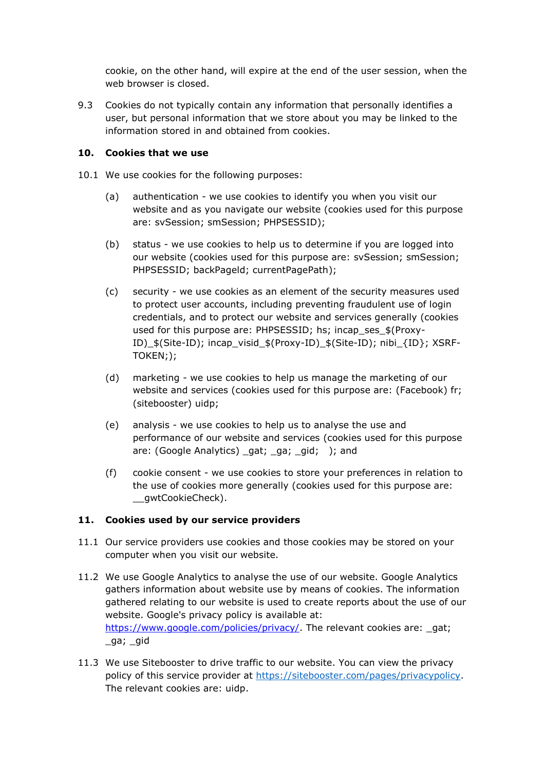cookie, on the other hand, will expire at the end of the user session, when the web browser is closed.

9.3 Cookies do not typically contain any information that personally identifies a user, but personal information that we store about you may be linked to the information stored in and obtained from cookies.

### **10. Cookies that we use**

- 10.1 We use cookies for the following purposes:
	- (a) authentication we use cookies to identify you when you visit our website and as you navigate our website (cookies used for this purpose are: svSession; smSession; PHPSESSID);
	- (b) status we use cookies to help us to determine if you are logged into our website (cookies used for this purpose are: svSession; smSession; PHPSESSID; backPageld; currentPagePath);
	- (c) security we use cookies as an element of the security measures used to protect user accounts, including preventing fraudulent use of login credentials, and to protect our website and services generally (cookies used for this purpose are: PHPSESSID; hs; incap\_ses\_\$(Proxy-ID)\_\$(Site-ID); incap\_visid\_\$(Proxy-ID)\_\$(Site-ID); nibi\_{ID}; XSRF-TOKEN;);
	- (d) marketing we use cookies to help us manage the marketing of our website and services (cookies used for this purpose are: (Facebook) fr; (sitebooster) uidp;
	- (e) analysis we use cookies to help us to analyse the use and performance of our website and services (cookies used for this purpose are: (Google Analytics) \_gat; \_ga; \_gid; ); and
	- (f) cookie consent we use cookies to store your preferences in relation to the use of cookies more generally (cookies used for this purpose are: \_\_gwtCookieCheck).

# **11. Cookies used by our service providers**

- 11.1 Our service providers use cookies and those cookies may be stored on your computer when you visit our website.
- 11.2 We use Google Analytics to analyse the use of our website. Google Analytics gathers information about website use by means of cookies. The information gathered relating to our website is used to create reports about the use of our website. Google's privacy policy is available at: [https://www.google.com/policies/privacy/.](https://www.google.com/policies/privacy/) The relevant cookies are: \_gat; \_ga; \_gid
- 11.3 We use Sitebooster to drive traffic to our website. You can view the privacy policy of this service provider at [https://sitebooster.com/pages/privacypolicy.](https://sitebooster.com/pages/privacypolicy) The relevant cookies are: uidp.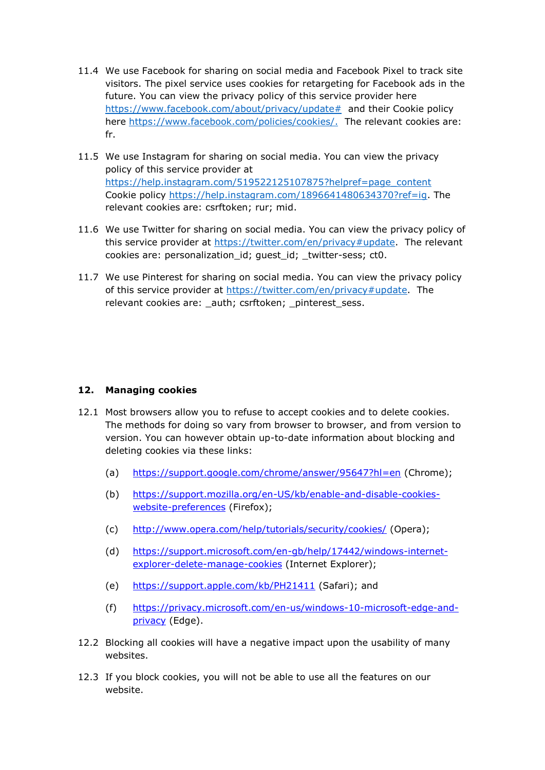- 11.4 We use Facebook for sharing on social media and Facebook Pixel to track site visitors. The pixel service uses cookies for retargeting for Facebook ads in the future. You can view the privacy policy of this service provider here [https://www.facebook.com/about/privacy/update#](https://www.facebook.com/about/privacy/update) and their Cookie policy here [https://www.facebook.com/policies/cookies/.](https://www.facebook.com/policies/cookies/) The relevant cookies are: fr.
- 11.5 We use Instagram for sharing on social media. You can view the privacy policy of this service provider at [https://help.instagram.com/519522125107875?helpref=page\\_content](https://help.instagram.com/519522125107875?helpref=page_content) Cookie policy [https://help.instagram.com/1896641480634370?ref=ig.](https://help.instagram.com/1896641480634370?ref=ig) The relevant cookies are: csrftoken; rur; mid.
- 11.6 We use Twitter for sharing on social media. You can view the privacy policy of this service provider at [https://twitter.com/en/privacy#update.](https://twitter.com/en/privacy#update) The relevant cookies are: personalization\_id; guest\_id; \_twitter-sess; ct0.
- 11.7 We use Pinterest for sharing on social media. You can view the privacy policy of this service provider at [https://twitter.com/en/privacy#update.](https://twitter.com/en/privacy#update) The relevant cookies are: auth; csrftoken; pinterest sess.

# **12. Managing cookies**

- 12.1 Most browsers allow you to refuse to accept cookies and to delete cookies. The methods for doing so vary from browser to browser, and from version to version. You can however obtain up-to-date information about blocking and deleting cookies via these links:
	- (a) <https://support.google.com/chrome/answer/95647?hl=en> (Chrome);
	- (b) [https://support.mozilla.org/en-US/kb/enable-and-disable-cookies](https://support.mozilla.org/en-US/kb/enable-and-disable-cookies-website-preferences)[website-preferences](https://support.mozilla.org/en-US/kb/enable-and-disable-cookies-website-preferences) (Firefox);
	- (c) <http://www.opera.com/help/tutorials/security/cookies/> (Opera);
	- (d) [https://support.microsoft.com/en-gb/help/17442/windows-internet](https://support.microsoft.com/en-gb/help/17442/windows-internet-explorer-delete-manage-cookies)[explorer-delete-manage-cookies](https://support.microsoft.com/en-gb/help/17442/windows-internet-explorer-delete-manage-cookies) (Internet Explorer);
	- (e) <https://support.apple.com/kb/PH21411> (Safari); and
	- (f) [https://privacy.microsoft.com/en-us/windows-10-microsoft-edge-and](https://privacy.microsoft.com/en-us/windows-10-microsoft-edge-and-privacy)[privacy](https://privacy.microsoft.com/en-us/windows-10-microsoft-edge-and-privacy) (Edge).
- 12.2 Blocking all cookies will have a negative impact upon the usability of many websites.
- 12.3 If you block cookies, you will not be able to use all the features on our website.